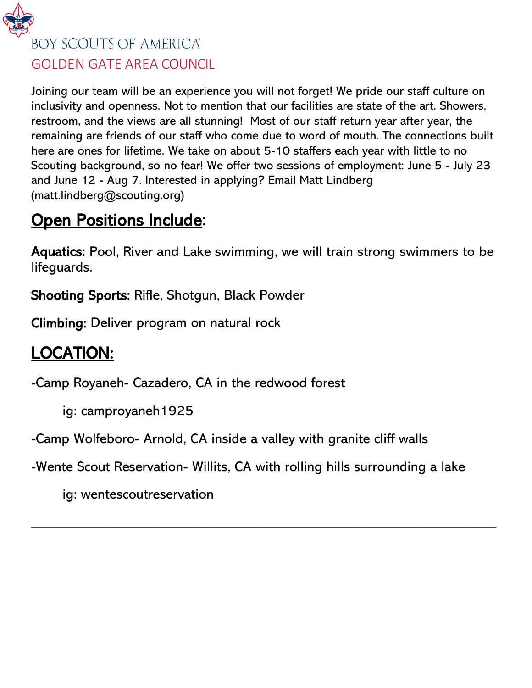

#### GOLDEN GATE AREA COUNCIL

Joining our team will be an experience you will not forget! We pride our staff culture on inclusivity and openness. Not to mention that our facilities are state of the art. Showers, restroom, and the views are all stunning! Most of our staff return year after year, the remaining are friends of our staff who come due to word of mouth. The connections built here are ones for lifetime. We take on about 5-10 staffers each year with little to no Scouting background, so no fear! We offer two sessions of employment: June 5 - July 23 and June 12 - Aug 7. Interested in applying? Email Matt Lindberg (matt.lindberg@scouting.org)

### **Open Positions Include:**

Aquatics: Pool, River and Lake swimming, we will train strong swimmers to be lifeguards.

Shooting Sports: Rifle, Shotgun, Black Powder

Climbing: Deliver program on natural rock

# LOCATION:

-Camp Royaneh- Cazadero, CA in the redwood forest

ig: camproyaneh1925

-Camp Wolfeboro- Arnold, CA inside a valley with granite cliff walls

-Wente Scout Reservation- Willits, CA with rolling hills surrounding a lake

 $\overline{\phantom{a}}$  , and the contract of the contract of the contract of the contract of the contract of the contract of the contract of the contract of the contract of the contract of the contract of the contract of the contrac

ig: wentescoutreservation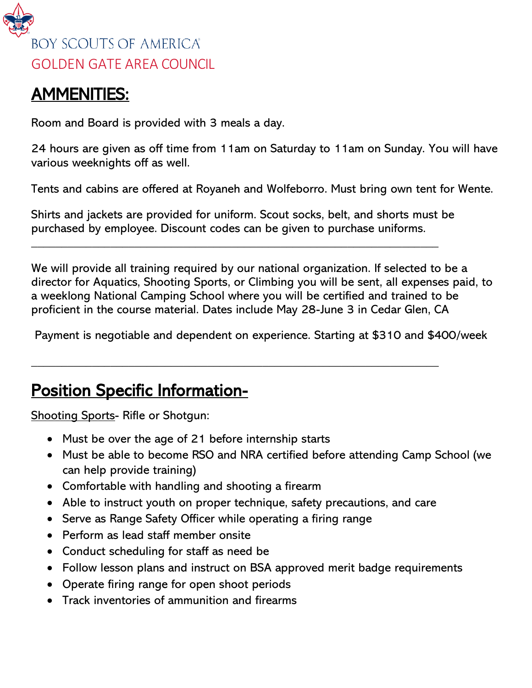

### AMMENITIES:

Room and Board is provided with 3 meals a day.

24 hours are given as off time from 11am on Saturday to 11am on Sunday. You will have various weeknights off as well.

Tents and cabins are offered at Royaneh and Wolfeborro. Must bring own tent for Wente.

Shirts and jackets are provided for uniform. Scout socks, belt, and shorts must be purchased by employee. Discount codes can be given to purchase uniforms.

 $\overline{\phantom{a}}$  , and the contribution of the contribution of the contribution of the contribution of the contribution of the contribution of the contribution of the contribution of the contribution of the contribution of the

 $\overline{\phantom{a}}$  , and the contribution of the contribution of the contribution of the contribution of the contribution of the contribution of the contribution of the contribution of the contribution of the contribution of the

We will provide all training required by our national organization. If selected to be a director for Aquatics, Shooting Sports, or Climbing you will be sent, all expenses paid, to a weeklong National Camping School where you will be certified and trained to be proficient in the course material. Dates include May 28-June 3 in Cedar Glen, CA

Payment is negotiable and dependent on experience. Starting at \$310 and \$400/week

## Position Specific Information-

Shooting Sports- Rifle or Shotgun:

- Must be over the age of 21 before internship starts
- Must be able to become RSO and NRA certified before attending Camp School (we can help provide training)
- Comfortable with handling and shooting a firearm
- Able to instruct youth on proper technique, safety precautions, and care
- Serve as Range Safety Officer while operating a firing range
- Perform as lead staff member onsite
- Conduct scheduling for staff as need be
- Follow lesson plans and instruct on BSA approved merit badge requirements
- Operate firing range for open shoot periods
- Track inventories of ammunition and firearms